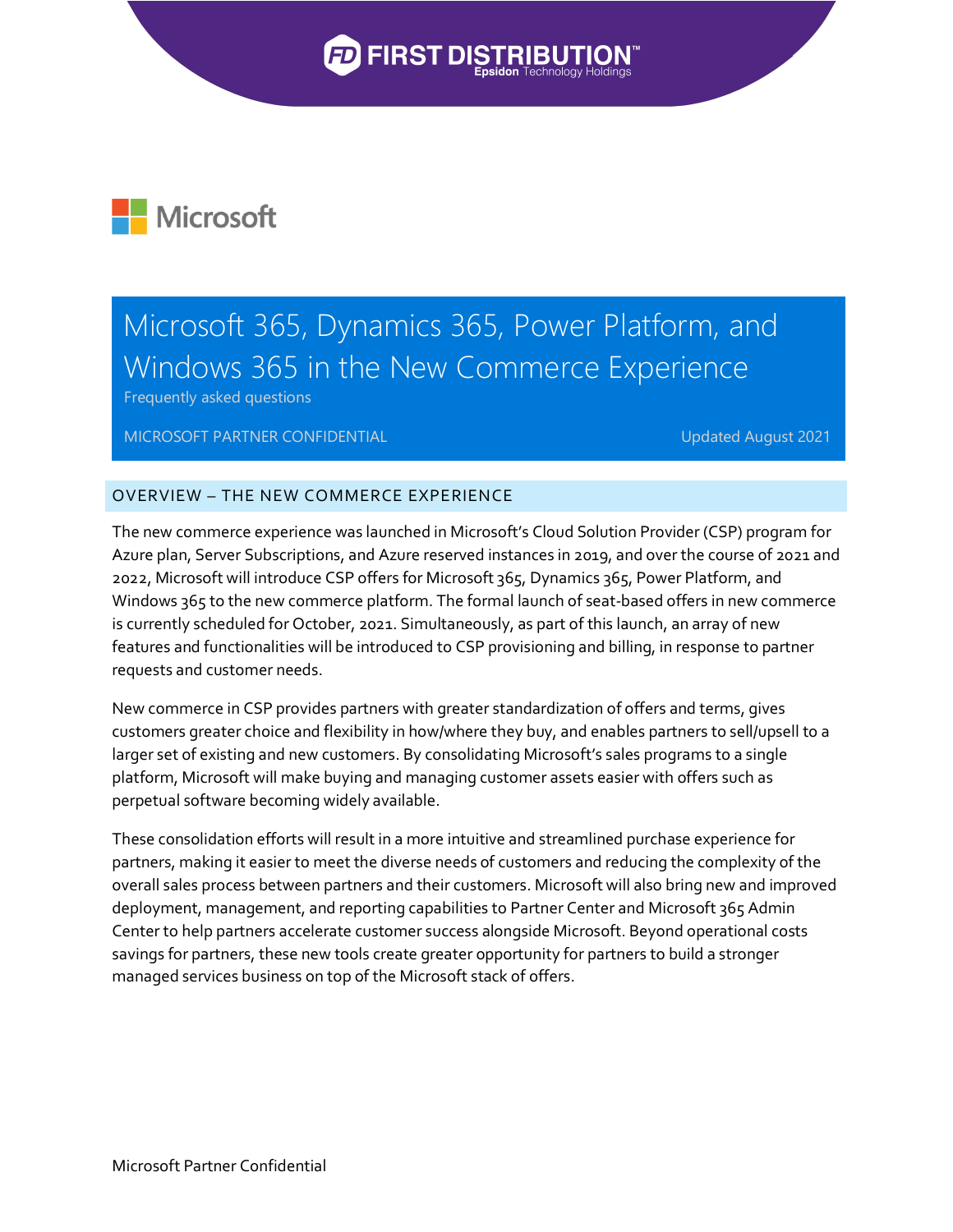## **PEIRST DISTR**



## Microsoft 365, Dynamics 365, Power Platform, and Windows 365 in the New Commerce Experience

Frequently asked questions

MICROSOFT PARTNER CONFIDENTIAL **Example 2021** Updated August 2021

## OVERVIEW – THE NEW COMMERCE EXPERIENCE

The new commerce experience was launched in Microsoft's Cloud Solution Provider (CSP) program for Azure plan, Server Subscriptions, and Azure reserved instances in 2019, and over the course of 2021 and 2022, Microsoft will introduce CSP offers for Microsoft 365, Dynamics 365, Power Platform, and Windows 365 to the new commerce platform. The formal launch of seat-based offers in new commerce is currently scheduled for October, 2021. Simultaneously, as part of this launch, an array of new features and functionalities will be introduced to CSP provisioning and billing, in response to partner requests and customer needs.

New commerce in CSP provides partners with greater standardization of offers and terms, gives customers greater choice and flexibility in how/where they buy, and enables partners to sell/upsell to a larger set of existing and new customers. By consolidating Microsoft's sales programs to a single platform, Microsoft will make buying and managing customer assets easier with offers such as perpetual software becoming widely available.

These consolidation efforts will result in a more intuitive and streamlined purchase experience for partners, making it easier to meet the diverse needs of customers and reducing the complexity of the overall sales process between partners and their customers. Microsoft will also bring new and improved deployment, management, and reporting capabilities to Partner Center and Microsoft 365 Admin Center to help partners accelerate customer success alongside Microsoft. Beyond operational costs savings for partners, these new tools create greater opportunity for partners to build a stronger managed services business on top of the Microsoft stack of offers.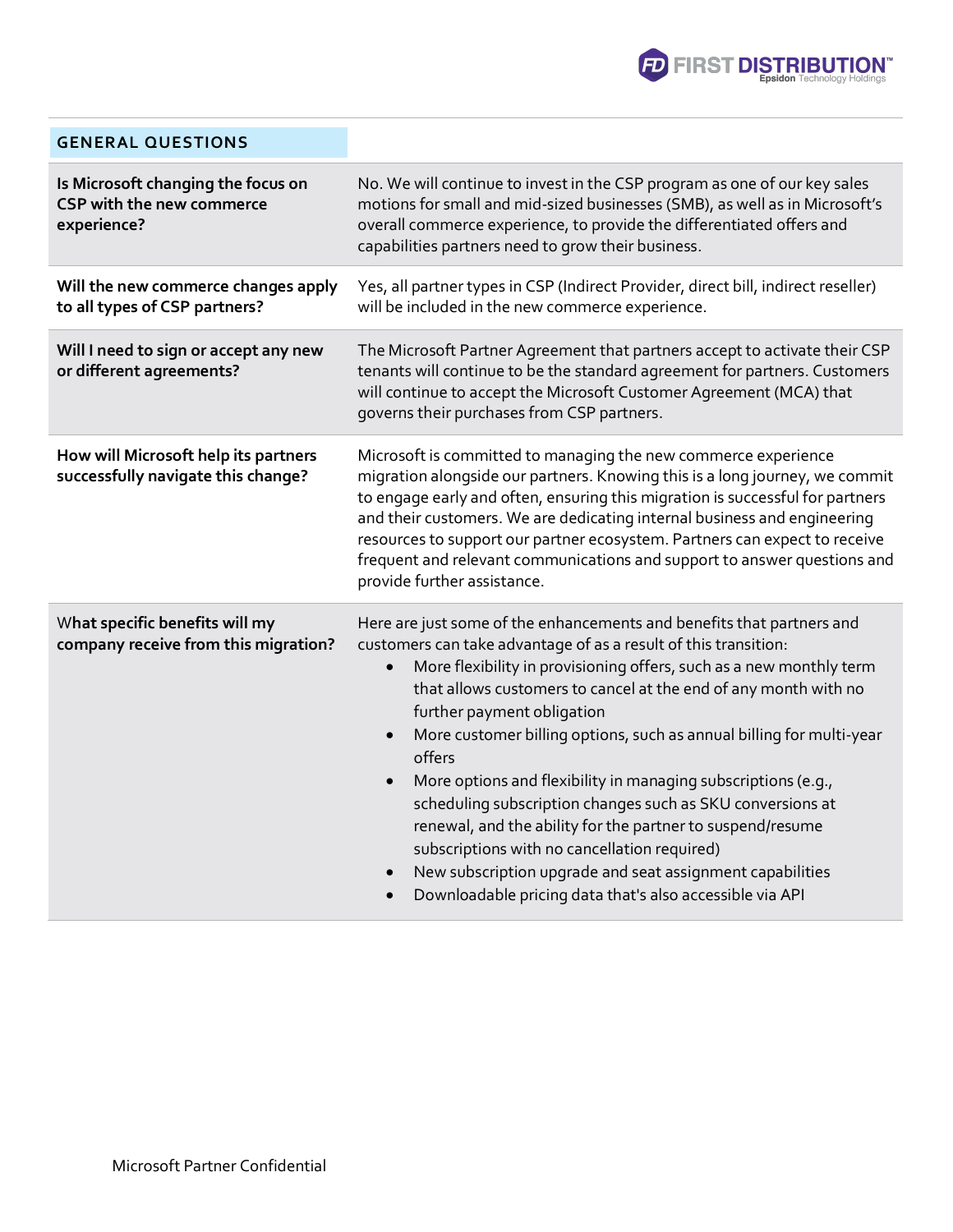

| <b>GENERAL QUESTIONS</b>                                                              |                                                                                                                                                                                                                                                                                                                                                                                                                                                                                                                                                                                                                                                                                                                                                                                                    |
|---------------------------------------------------------------------------------------|----------------------------------------------------------------------------------------------------------------------------------------------------------------------------------------------------------------------------------------------------------------------------------------------------------------------------------------------------------------------------------------------------------------------------------------------------------------------------------------------------------------------------------------------------------------------------------------------------------------------------------------------------------------------------------------------------------------------------------------------------------------------------------------------------|
| Is Microsoft changing the focus on<br><b>CSP with the new commerce</b><br>experience? | No. We will continue to invest in the CSP program as one of our key sales<br>motions for small and mid-sized businesses (SMB), as well as in Microsoft's<br>overall commerce experience, to provide the differentiated offers and<br>capabilities partners need to grow their business.                                                                                                                                                                                                                                                                                                                                                                                                                                                                                                            |
| Will the new commerce changes apply<br>to all types of CSP partners?                  | Yes, all partner types in CSP (Indirect Provider, direct bill, indirect reseller)<br>will be included in the new commerce experience.                                                                                                                                                                                                                                                                                                                                                                                                                                                                                                                                                                                                                                                              |
| Will I need to sign or accept any new<br>or different agreements?                     | The Microsoft Partner Agreement that partners accept to activate their CSP<br>tenants will continue to be the standard agreement for partners. Customers<br>will continue to accept the Microsoft Customer Agreement (MCA) that<br>governs their purchases from CSP partners.                                                                                                                                                                                                                                                                                                                                                                                                                                                                                                                      |
| How will Microsoft help its partners<br>successfully navigate this change?            | Microsoft is committed to managing the new commerce experience<br>migration alongside our partners. Knowing this is a long journey, we commit<br>to engage early and often, ensuring this migration is successful for partners<br>and their customers. We are dedicating internal business and engineering<br>resources to support our partner ecosystem. Partners can expect to receive<br>frequent and relevant communications and support to answer questions and<br>provide further assistance.                                                                                                                                                                                                                                                                                                |
| What specific benefits will my<br>company receive from this migration?                | Here are just some of the enhancements and benefits that partners and<br>customers can take advantage of as a result of this transition:<br>More flexibility in provisioning offers, such as a new monthly term<br>that allows customers to cancel at the end of any month with no<br>further payment obligation<br>More customer billing options, such as annual billing for multi-year<br>$\bullet$<br>offers<br>More options and flexibility in managing subscriptions (e.g.,<br>$\bullet$<br>scheduling subscription changes such as SKU conversions at<br>renewal, and the ability for the partner to suspend/resume<br>subscriptions with no cancellation required)<br>New subscription upgrade and seat assignment capabilities<br>Downloadable pricing data that's also accessible via API |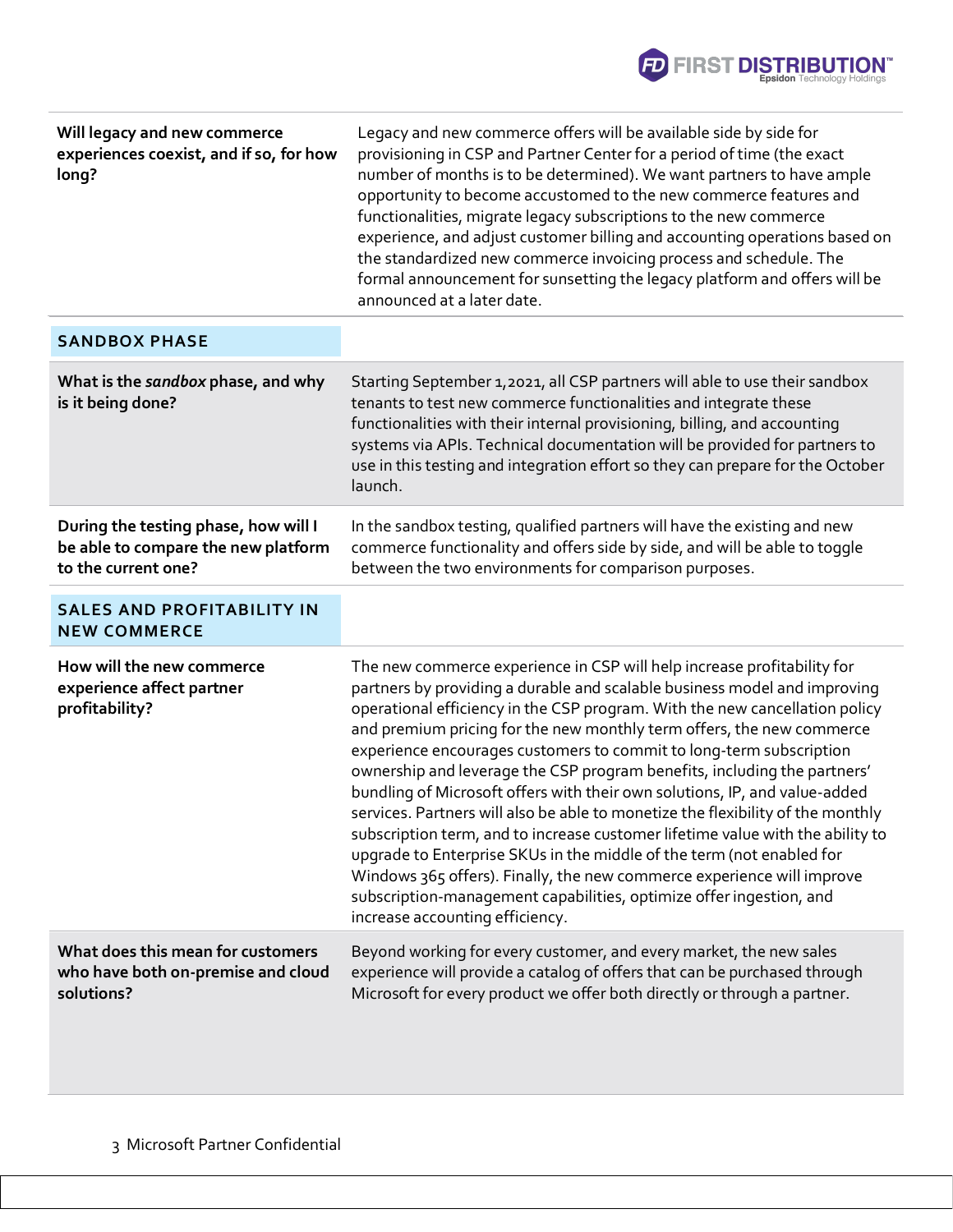

| Will legacy and new commerce<br>experiences coexist, and if so, for how<br>long?                   | Legacy and new commerce offers will be available side by side for<br>provisioning in CSP and Partner Center for a period of time (the exact<br>number of months is to be determined). We want partners to have ample<br>opportunity to become accustomed to the new commerce features and<br>functionalities, migrate legacy subscriptions to the new commerce<br>experience, and adjust customer billing and accounting operations based on<br>the standardized new commerce invoicing process and schedule. The<br>formal announcement for sunsetting the legacy platform and offers will be<br>announced at a later date.                                                                                                                                                                                                                                                                                                                                                    |
|----------------------------------------------------------------------------------------------------|---------------------------------------------------------------------------------------------------------------------------------------------------------------------------------------------------------------------------------------------------------------------------------------------------------------------------------------------------------------------------------------------------------------------------------------------------------------------------------------------------------------------------------------------------------------------------------------------------------------------------------------------------------------------------------------------------------------------------------------------------------------------------------------------------------------------------------------------------------------------------------------------------------------------------------------------------------------------------------|
| <b>SANDBOX PHASE</b>                                                                               |                                                                                                                                                                                                                                                                                                                                                                                                                                                                                                                                                                                                                                                                                                                                                                                                                                                                                                                                                                                 |
| What is the sandbox phase, and why<br>is it being done?                                            | Starting September 1, 2021, all CSP partners will able to use their sandbox<br>tenants to test new commerce functionalities and integrate these<br>functionalities with their internal provisioning, billing, and accounting<br>systems via APIs. Technical documentation will be provided for partners to<br>use in this testing and integration effort so they can prepare for the October<br>launch.                                                                                                                                                                                                                                                                                                                                                                                                                                                                                                                                                                         |
| During the testing phase, how will I<br>be able to compare the new platform<br>to the current one? | In the sandbox testing, qualified partners will have the existing and new<br>commerce functionality and offers side by side, and will be able to toggle<br>between the two environments for comparison purposes.                                                                                                                                                                                                                                                                                                                                                                                                                                                                                                                                                                                                                                                                                                                                                                |
| <b>SALES AND PROFITABILITY IN</b><br><b>NEW COMMERCE</b>                                           |                                                                                                                                                                                                                                                                                                                                                                                                                                                                                                                                                                                                                                                                                                                                                                                                                                                                                                                                                                                 |
| How will the new commerce<br>experience affect partner<br>profitability?                           | The new commerce experience in CSP will help increase profitability for<br>partners by providing a durable and scalable business model and improving<br>operational efficiency in the CSP program. With the new cancellation policy<br>and premium pricing for the new monthly term offers, the new commerce<br>experience encourages customers to commit to long-term subscription<br>ownership and leverage the CSP program benefits, including the partners'<br>bundling of Microsoft offers with their own solutions, IP, and value-added<br>services. Partners will also be able to monetize the flexibility of the monthly<br>subscription term, and to increase customer lifetime value with the ability to<br>upgrade to Enterprise SKUs in the middle of the term (not enabled for<br>Windows 365 offers). Finally, the new commerce experience will improve<br>subscription-management capabilities, optimize offer ingestion, and<br>increase accounting efficiency. |
| What does this mean for customers<br>who have both on-premise and cloud<br>solutions?              | Beyond working for every customer, and every market, the new sales<br>experience will provide a catalog of offers that can be purchased through<br>Microsoft for every product we offer both directly or through a partner.                                                                                                                                                                                                                                                                                                                                                                                                                                                                                                                                                                                                                                                                                                                                                     |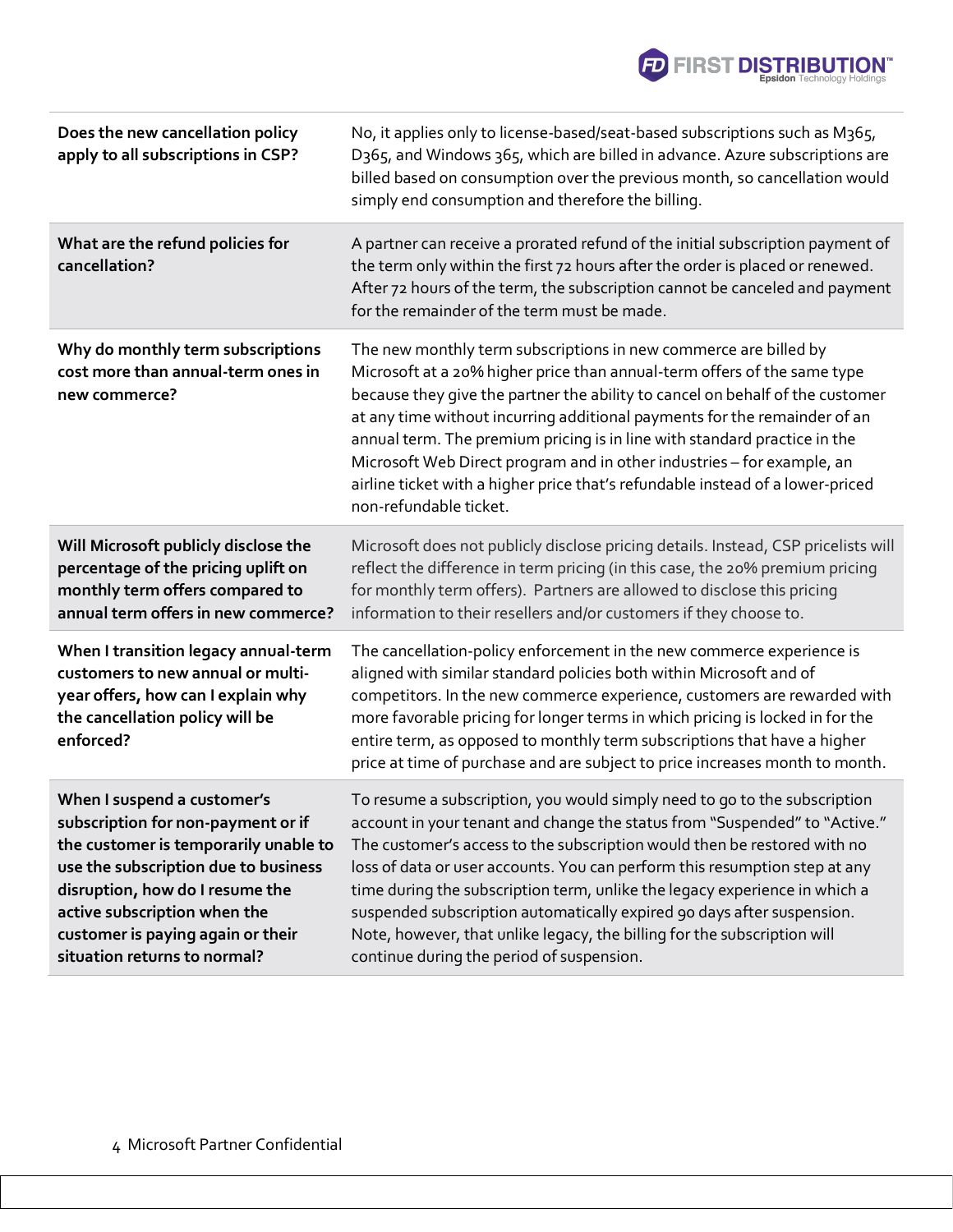

| Does the new cancellation policy<br>apply to all subscriptions in CSP?                                                                                                                                                                                                                     | No, it applies only to license-based/seat-based subscriptions such as M365,<br>D365, and Windows 365, which are billed in advance. Azure subscriptions are<br>billed based on consumption over the previous month, so cancellation would<br>simply end consumption and therefore the billing.                                                                                                                                                                                                                                                                                                      |
|--------------------------------------------------------------------------------------------------------------------------------------------------------------------------------------------------------------------------------------------------------------------------------------------|----------------------------------------------------------------------------------------------------------------------------------------------------------------------------------------------------------------------------------------------------------------------------------------------------------------------------------------------------------------------------------------------------------------------------------------------------------------------------------------------------------------------------------------------------------------------------------------------------|
| What are the refund policies for<br>cancellation?                                                                                                                                                                                                                                          | A partner can receive a prorated refund of the initial subscription payment of<br>the term only within the first 72 hours after the order is placed or renewed.<br>After 72 hours of the term, the subscription cannot be canceled and payment<br>for the remainder of the term must be made.                                                                                                                                                                                                                                                                                                      |
| Why do monthly term subscriptions<br>cost more than annual-term ones in<br>new commerce?                                                                                                                                                                                                   | The new monthly term subscriptions in new commerce are billed by<br>Microsoft at a 20% higher price than annual-term offers of the same type<br>because they give the partner the ability to cancel on behalf of the customer<br>at any time without incurring additional payments for the remainder of an<br>annual term. The premium pricing is in line with standard practice in the<br>Microsoft Web Direct program and in other industries - for example, an<br>airline ticket with a higher price that's refundable instead of a lower-priced<br>non-refundable ticket.                      |
| Will Microsoft publicly disclose the<br>percentage of the pricing uplift on<br>monthly term offers compared to<br>annual term offers in new commerce?                                                                                                                                      | Microsoft does not publicly disclose pricing details. Instead, CSP pricelists will<br>reflect the difference in term pricing (in this case, the 20% premium pricing<br>for monthly term offers). Partners are allowed to disclose this pricing<br>information to their resellers and/or customers if they choose to.                                                                                                                                                                                                                                                                               |
| When I transition legacy annual-term<br>customers to new annual or multi-<br>year offers, how can I explain why<br>the cancellation policy will be<br>enforced?                                                                                                                            | The cancellation-policy enforcement in the new commerce experience is<br>aligned with similar standard policies both within Microsoft and of<br>competitors. In the new commerce experience, customers are rewarded with<br>more favorable pricing for longer terms in which pricing is locked in for the<br>entire term, as opposed to monthly term subscriptions that have a higher<br>price at time of purchase and are subject to price increases month to month.                                                                                                                              |
| When I suspend a customer's<br>subscription for non-payment or if<br>the customer is temporarily unable to<br>use the subscription due to business<br>disruption, how do I resume the<br>active subscription when the<br>customer is paying again or their<br>situation returns to normal? | To resume a subscription, you would simply need to go to the subscription<br>account in your tenant and change the status from "Suspended" to "Active."<br>The customer's access to the subscription would then be restored with no<br>loss of data or user accounts. You can perform this resumption step at any<br>time during the subscription term, unlike the legacy experience in which a<br>suspended subscription automatically expired 90 days after suspension.<br>Note, however, that unlike legacy, the billing for the subscription will<br>continue during the period of suspension. |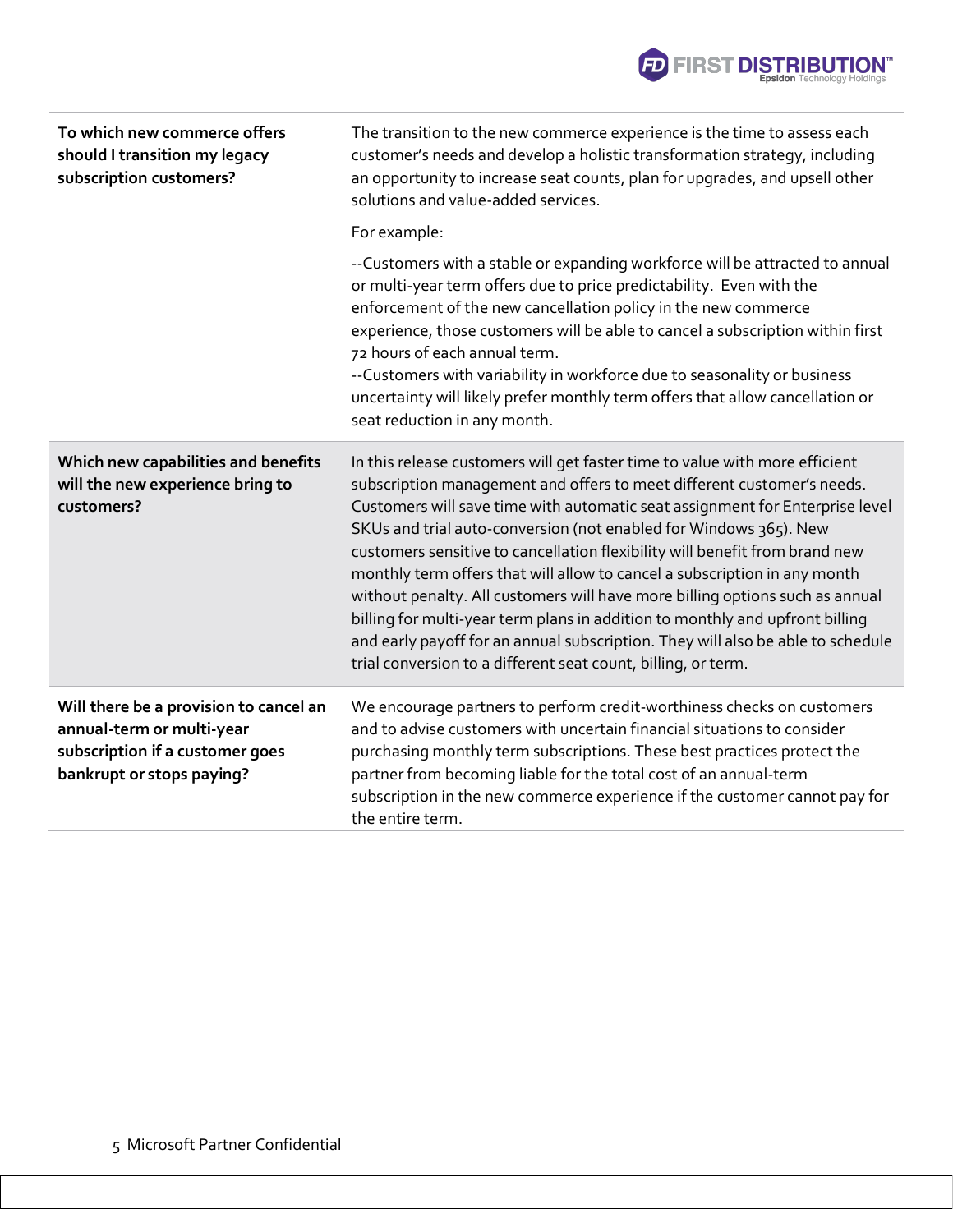| To which new commerce offers<br>should I transition my legacy<br>subscription customers?                                            | The transition to the new commerce experience is the time to assess each<br>customer's needs and develop a holistic transformation strategy, including<br>an opportunity to increase seat counts, plan for upgrades, and upsell other<br>solutions and value-added services.                                                                                                                                                                                                                                                                                                                                                                                                                                                                                                               |
|-------------------------------------------------------------------------------------------------------------------------------------|--------------------------------------------------------------------------------------------------------------------------------------------------------------------------------------------------------------------------------------------------------------------------------------------------------------------------------------------------------------------------------------------------------------------------------------------------------------------------------------------------------------------------------------------------------------------------------------------------------------------------------------------------------------------------------------------------------------------------------------------------------------------------------------------|
|                                                                                                                                     | For example:                                                                                                                                                                                                                                                                                                                                                                                                                                                                                                                                                                                                                                                                                                                                                                               |
|                                                                                                                                     | --Customers with a stable or expanding workforce will be attracted to annual<br>or multi-year term offers due to price predictability. Even with the<br>enforcement of the new cancellation policy in the new commerce<br>experience, those customers will be able to cancel a subscription within first<br>72 hours of each annual term.<br>--Customers with variability in workforce due to seasonality or business<br>uncertainty will likely prefer monthly term offers that allow cancellation or<br>seat reduction in any month.                                                                                                                                                                                                                                                     |
| Which new capabilities and benefits<br>will the new experience bring to<br>customers?                                               | In this release customers will get faster time to value with more efficient<br>subscription management and offers to meet different customer's needs.<br>Customers will save time with automatic seat assignment for Enterprise level<br>SKUs and trial auto-conversion (not enabled for Windows 365). New<br>customers sensitive to cancellation flexibility will benefit from brand new<br>monthly term offers that will allow to cancel a subscription in any month<br>without penalty. All customers will have more billing options such as annual<br>billing for multi-year term plans in addition to monthly and upfront billing<br>and early payoff for an annual subscription. They will also be able to schedule<br>trial conversion to a different seat count, billing, or term. |
| Will there be a provision to cancel an<br>annual-term or multi-year<br>subscription if a customer goes<br>bankrupt or stops paying? | We encourage partners to perform credit-worthiness checks on customers<br>and to advise customers with uncertain financial situations to consider<br>purchasing monthly term subscriptions. These best practices protect the<br>partner from becoming liable for the total cost of an annual-term<br>subscription in the new commerce experience if the customer cannot pay for<br>the entire term.                                                                                                                                                                                                                                                                                                                                                                                        |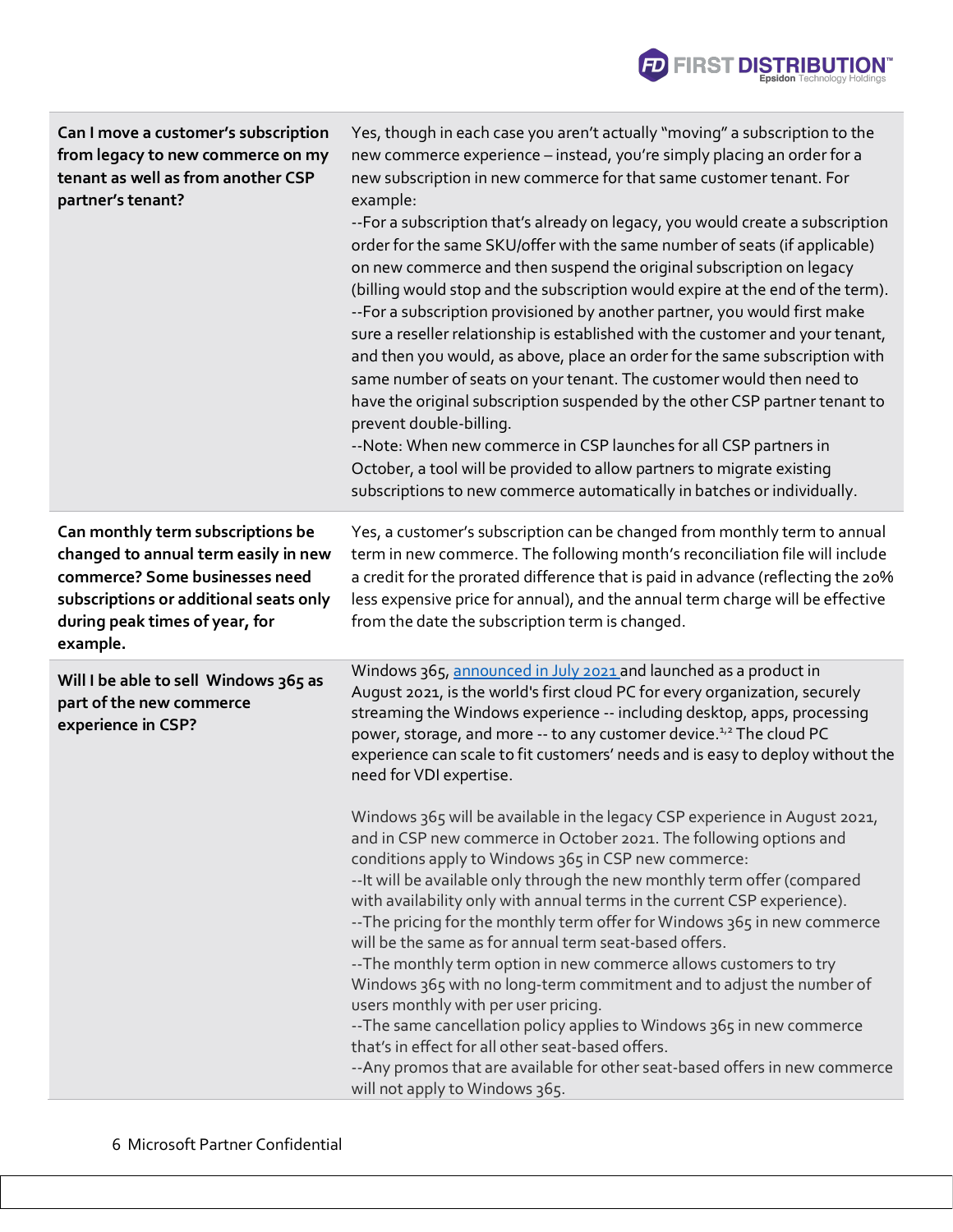| Can I move a customer's subscription<br>from legacy to new commerce on my<br>tenant as well as from another CSP<br>partner's tenant?                                                                | Yes, though in each case you aren't actually "moving" a subscription to the<br>new commerce experience - instead, you're simply placing an order for a<br>new subscription in new commerce for that same customer tenant. For<br>example:<br>--For a subscription that's already on legacy, you would create a subscription<br>order for the same SKU/offer with the same number of seats (if applicable)<br>on new commerce and then suspend the original subscription on legacy<br>(billing would stop and the subscription would expire at the end of the term).<br>--For a subscription provisioned by another partner, you would first make<br>sure a reseller relationship is established with the customer and your tenant,<br>and then you would, as above, place an order for the same subscription with<br>same number of seats on your tenant. The customer would then need to<br>have the original subscription suspended by the other CSP partner tenant to<br>prevent double-billing.<br>--Note: When new commerce in CSP launches for all CSP partners in<br>October, a tool will be provided to allow partners to migrate existing<br>subscriptions to new commerce automatically in batches or individually.                                                                                                                                                |
|-----------------------------------------------------------------------------------------------------------------------------------------------------------------------------------------------------|------------------------------------------------------------------------------------------------------------------------------------------------------------------------------------------------------------------------------------------------------------------------------------------------------------------------------------------------------------------------------------------------------------------------------------------------------------------------------------------------------------------------------------------------------------------------------------------------------------------------------------------------------------------------------------------------------------------------------------------------------------------------------------------------------------------------------------------------------------------------------------------------------------------------------------------------------------------------------------------------------------------------------------------------------------------------------------------------------------------------------------------------------------------------------------------------------------------------------------------------------------------------------------------------------------------------------------------------------------------------------|
| Can monthly term subscriptions be<br>changed to annual term easily in new<br>commerce? Some businesses need<br>subscriptions or additional seats only<br>during peak times of year, for<br>example. | Yes, a customer's subscription can be changed from monthly term to annual<br>term in new commerce. The following month's reconciliation file will include<br>a credit for the prorated difference that is paid in advance (reflecting the 20%<br>less expensive price for annual), and the annual term charge will be effective<br>from the date the subscription term is changed.                                                                                                                                                                                                                                                                                                                                                                                                                                                                                                                                                                                                                                                                                                                                                                                                                                                                                                                                                                                           |
| Will I be able to sell Windows 365 as<br>part of the new commerce<br>experience in CSP?                                                                                                             | Windows 365, announced in July 2021 and launched as a product in<br>August 2021, is the world's first cloud PC for every organization, securely<br>streaming the Windows experience -- including desktop, apps, processing<br>power, storage, and more -- to any customer device. <sup>1,2</sup> The cloud PC<br>experience can scale to fit customers' needs and is easy to deploy without the<br>need for VDI expertise.<br>Windows 365 will be available in the legacy CSP experience in August 2021,<br>and in CSP new commerce in October 2021. The following options and<br>conditions apply to Windows 365 in CSP new commerce:<br>-- It will be available only through the new monthly term offer (compared<br>with availability only with annual terms in the current CSP experience).<br>--The pricing for the monthly term offer for Windows 365 in new commerce<br>will be the same as for annual term seat-based offers.<br>-- The monthly term option in new commerce allows customers to try<br>Windows 365 with no long-term commitment and to adjust the number of<br>users monthly with per user pricing.<br>-- The same cancellation policy applies to Windows 365 in new commerce<br>that's in effect for all other seat-based offers.<br>-- Any promos that are available for other seat-based offers in new commerce<br>will not apply to Windows 365. |

**FIRST DISTRIBUTION**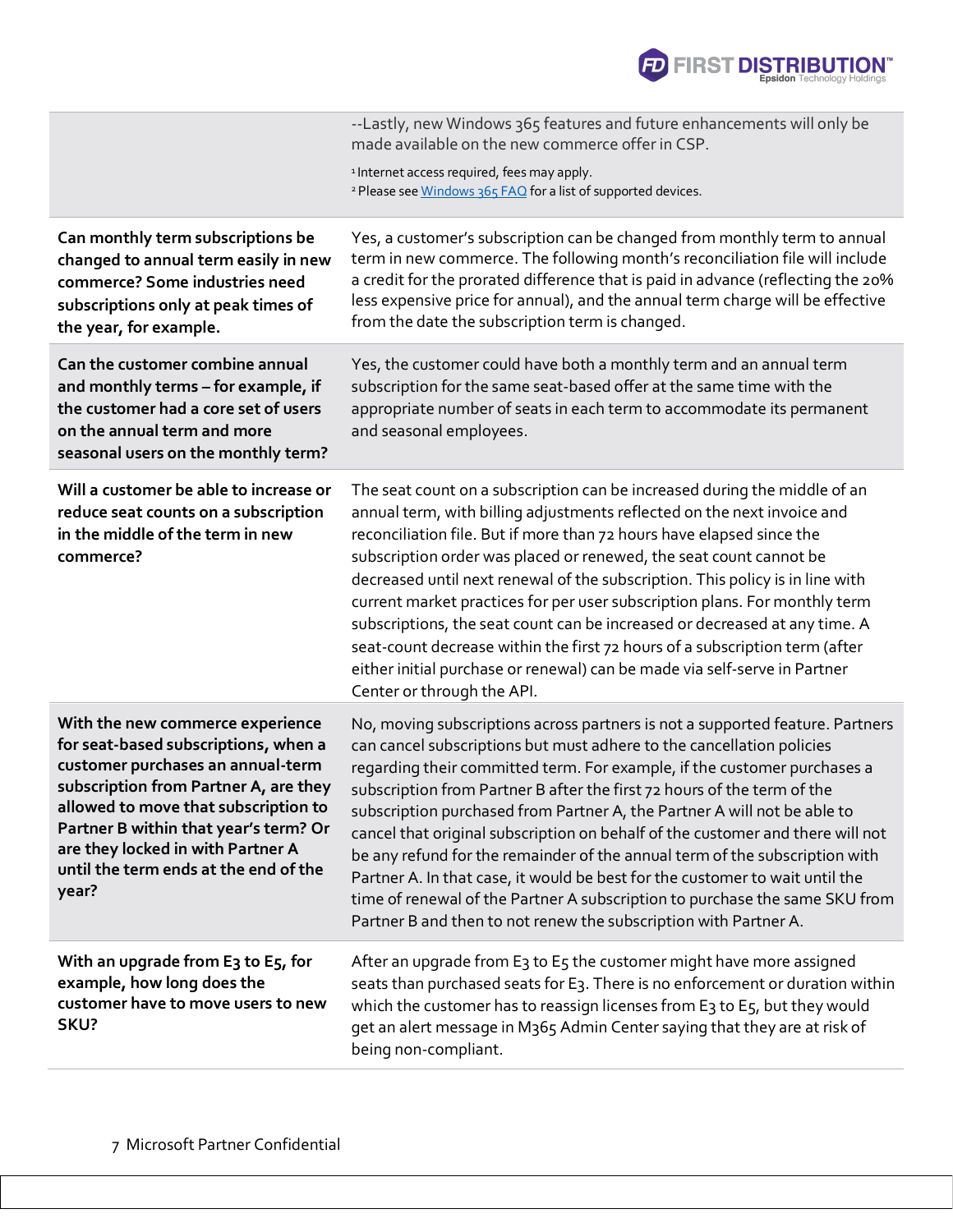

|                                                                                                                                                                                                                                                                                                                                | --Lastly, new Windows 365 features and future enhancements will only be<br>made available on the new commerce offer in CSP.                                                                                                                                                                                                                                                                                                                                                                                                                                                                                                                                                                                                                                                                   |
|--------------------------------------------------------------------------------------------------------------------------------------------------------------------------------------------------------------------------------------------------------------------------------------------------------------------------------|-----------------------------------------------------------------------------------------------------------------------------------------------------------------------------------------------------------------------------------------------------------------------------------------------------------------------------------------------------------------------------------------------------------------------------------------------------------------------------------------------------------------------------------------------------------------------------------------------------------------------------------------------------------------------------------------------------------------------------------------------------------------------------------------------|
|                                                                                                                                                                                                                                                                                                                                | <sup>1</sup> Internet access required, fees may apply.<br><sup>2</sup> Please see Windows 365 FAQ for a list of supported devices.                                                                                                                                                                                                                                                                                                                                                                                                                                                                                                                                                                                                                                                            |
| Can monthly term subscriptions be<br>changed to annual term easily in new<br>commerce? Some industries need<br>subscriptions only at peak times of<br>the year, for example.                                                                                                                                                   | Yes, a customer's subscription can be changed from monthly term to annual<br>term in new commerce. The following month's reconciliation file will include<br>a credit for the prorated difference that is paid in advance (reflecting the 20%<br>less expensive price for annual), and the annual term charge will be effective<br>from the date the subscription term is changed.                                                                                                                                                                                                                                                                                                                                                                                                            |
| Can the customer combine annual<br>and monthly terms - for example, if<br>the customer had a core set of users<br>on the annual term and more<br>seasonal users on the monthly term?                                                                                                                                           | Yes, the customer could have both a monthly term and an annual term<br>subscription for the same seat-based offer at the same time with the<br>appropriate number of seats in each term to accommodate its permanent<br>and seasonal employees.                                                                                                                                                                                                                                                                                                                                                                                                                                                                                                                                               |
| Will a customer be able to increase or<br>reduce seat counts on a subscription<br>in the middle of the term in new<br>commerce?                                                                                                                                                                                                | The seat count on a subscription can be increased during the middle of an<br>annual term, with billing adjustments reflected on the next invoice and<br>reconciliation file. But if more than 72 hours have elapsed since the<br>subscription order was placed or renewed, the seat count cannot be<br>decreased until next renewal of the subscription. This policy is in line with<br>current market practices for per user subscription plans. For monthly term<br>subscriptions, the seat count can be increased or decreased at any time. A<br>seat-count decrease within the first 72 hours of a subscription term (after<br>either initial purchase or renewal) can be made via self-serve in Partner<br>Center or through the API.                                                    |
| With the new commerce experience<br>for seat-based subscriptions, when a<br>customer purchases an annual-term<br>subscription from Partner A, are they<br>allowed to move that subscription to<br>Partner B within that year's term? Or<br>are they locked in with Partner A<br>until the term ends at the end of the<br>year? | No, moving subscriptions across partners is not a supported feature. Partners<br>can cancel subscriptions but must adhere to the cancellation policies<br>regarding their committed term. For example, if the customer purchases a<br>subscription from Partner B after the first 72 hours of the term of the<br>subscription purchased from Partner A, the Partner A will not be able to<br>cancel that original subscription on behalf of the customer and there will not<br>be any refund for the remainder of the annual term of the subscription with<br>Partner A. In that case, it would be best for the customer to wait until the<br>time of renewal of the Partner A subscription to purchase the same SKU from<br>Partner B and then to not renew the subscription with Partner A. |
| With an upgrade from E3 to E5, for<br>example, how long does the<br>customer have to move users to new<br>SKU?                                                                                                                                                                                                                 | After an upgrade from E3 to E5 the customer might have more assigned<br>seats than purchased seats for E3. There is no enforcement or duration within<br>which the customer has to reassign licenses from E3 to E5, but they would<br>get an alert message in M365 Admin Center saying that they are at risk of<br>being non-compliant.                                                                                                                                                                                                                                                                                                                                                                                                                                                       |